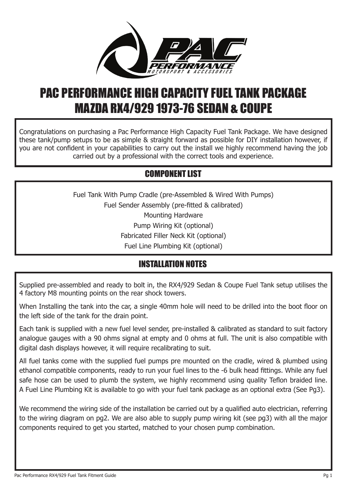

# PAC PERFORMANCE HIGH CAPACITY FUEL TANK PACKAGE MAZDA RX4/929 1973-76 SEDAN & COUPE

Congratulations on purchasing a Pac Performance High Capacity Fuel Tank Package. We have designed these tank/pump setups to be as simple & straight forward as possible for DIY installation however, if you are not confident in your capabilities to carry out the install we highly recommend having the job carried out by a professional with the correct tools and experience.

## COMPONENT LIST

Fuel Tank With Pump Cradle (pre-Assembled & Wired With Pumps) Fuel Sender Assembly (pre-fitted & calibrated) Mounting Hardware Pump Wiring Kit (optional) Fabricated Filler Neck Kit (optional) Fuel Line Plumbing Kit (optional)

## INSTALLATION NOTES

Supplied pre-assembled and ready to bolt in, the RX4/929 Sedan & Coupe Fuel Tank setup utilises the 4 factory M8 mounting points on the rear shock towers.

When Installing the tank into the car, a single 40mm hole will need to be drilled into the boot floor on the left side of the tank for the drain point.

Each tank is supplied with a new fuel level sender, pre-installed & calibrated as standard to suit factory analogue gauges with a 90 ohms signal at empty and 0 ohms at full. The unit is also compatible with digital dash displays however, it will require recalibrating to suit.

All fuel tanks come with the supplied fuel pumps pre mounted on the cradle, wired & plumbed using ethanol compatible components, ready to run your fuel lines to the -6 bulk head fittings. While any fuel safe hose can be used to plumb the system, we highly recommend using quality Teflon braided line. A Fuel Line Plumbing Kit is available to go with your fuel tank package as an optional extra (See Pg3).

We recommend the wiring side of the installation be carried out by a qualified auto electrician, referring to the wiring diagram on pg2. We are also able to supply pump wiring kit (see pg3) with all the major components required to get you started, matched to your chosen pump combination.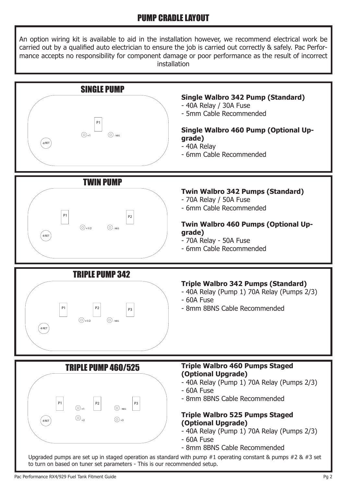### PUMP CRADLE LAYOUT

An option wiring kit is available to aid in the installation however, we recommend electrical work be carried out by a qualified auto electrician to ensure the job is carried out correctly & safely. Pac Performance accepts no responsibility for component damage or poor performance as the result of incorrect installation